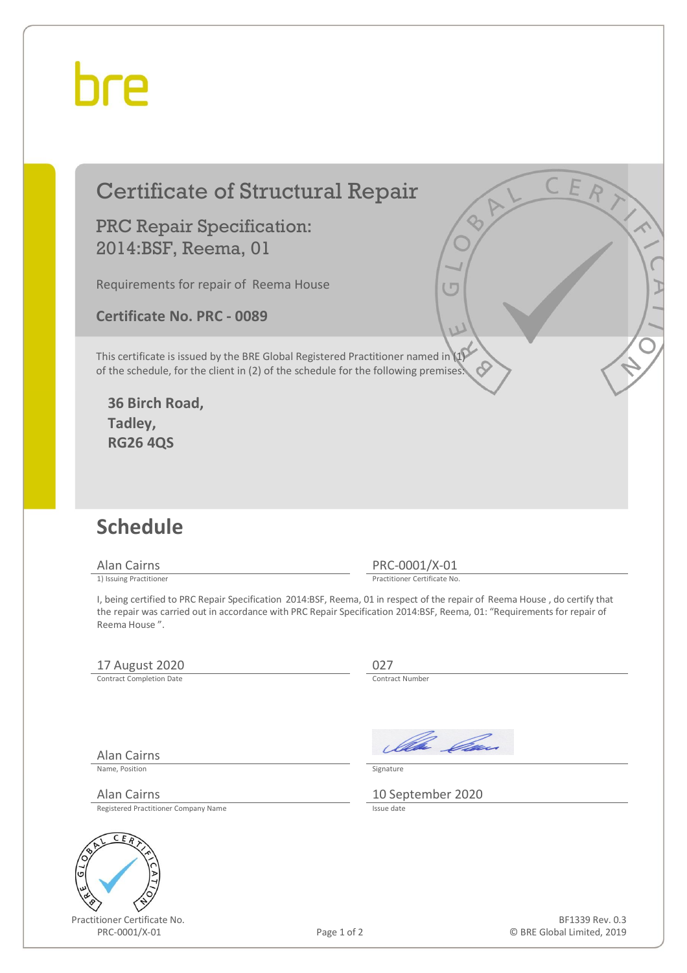## hre

### Certificate of Structural Repair

PRC Repair Specification: 2014:BSF, Reema, 01

Requirements for repair of Reema House

**Certificate No. PRC - 0089** 

This certificate is issued by the BRE Global Registered Practitioner named in (1) of the schedule, for the client in (2) of the schedule for the following premises:

**36 Birch Road, Tadley, RG26 4QS** 

#### **Schedule**

Alan Cairns PRC-0001/X-01<br>
1) Issuing Practitioner<br>
Practitioner Certificate No

Practitioner Certificate No.

I, being certified to PRC Repair Specification 2014:BSF, Reema, 01 in respect of the repair of Reema House , do certify that the repair was carried out in accordance with PRC Repair Specification 2014:BSF, Reema, 01: "Requirements for repair of Reema House ".

#### 17 August 2020<br>
Contract Completion Date

Contract Completion Date

Alan Cairns

Ila *Da*u

Name, Position Signature

Alan Cairns 10 September 2020

Registered Practitioner Company Name



Practitioner Certificate No. PRC-0001/X-01 Page 1 of 2